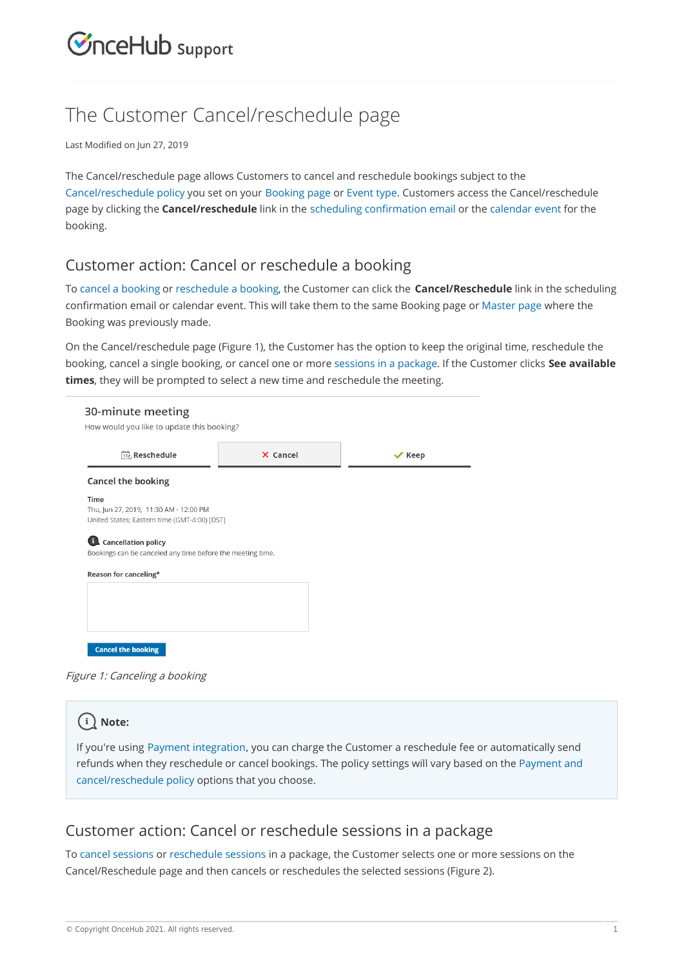# **CInceHub** support

## The Customer Cancel/reschedule page

Last Modified on Jun 27, 2019

The Cancel/reschedule page allows Customers to cancel and reschedule bookings subject to the Cancel/reschedule policy you set on your Booking page or Event type. Customers access the Cancel/reschedule page by clicking the **Cancel/reschedule** link in the scheduling confirmation email or the calendar event for the booking.

#### Customer action: Cancel or reschedule a booking

To cancel a booking or reschedule a booking, the Customer can click the **Cancel/Reschedule** link in the scheduling confirmation email or calendar event. This will take them to the same Booking page or Master page where the Booking was previously made.

On the Cancel/reschedule page (Figure 1), the Customer has the option to keep the original time, reschedule the booking, cancel a single booking, or cancel one or more sessions in a package. If the Customer clicks **See available times**, they will be prompted to select a new time and reschedule the meeting.

| <b>The Reschedule</b>                                                                                 | X Cancel | $\vee$ Keep |
|-------------------------------------------------------------------------------------------------------|----------|-------------|
| <b>Cancel the booking</b>                                                                             |          |             |
| <b>Time</b><br>Thu, Jun 27, 2019, 11:30 AM - 12:00 PM<br>United States; Eastern time (GMT-4:00) [DST] |          |             |
| <b>Cancellation policy</b><br>Bookings can be canceled any time before the meeting time.              |          |             |
| Reason for canceling*                                                                                 |          |             |
|                                                                                                       |          |             |
|                                                                                                       |          |             |

Figure 1: Canceling <sup>a</sup> booking

#### $(i)$  Note:

If you're using Payment integration, you can charge the Customer a reschedule fee or automatically send refunds when they reschedule or cancel bookings. The policy settings will vary based on the Payment and cancel/reschedule policy options that you choose.

#### Customer action: Cancel or reschedule sessions in a package

To cancel sessions or reschedule sessions in a package, the Customer selects one or more sessions on the Cancel/Reschedule page and then cancels or reschedules the selected sessions (Figure 2).